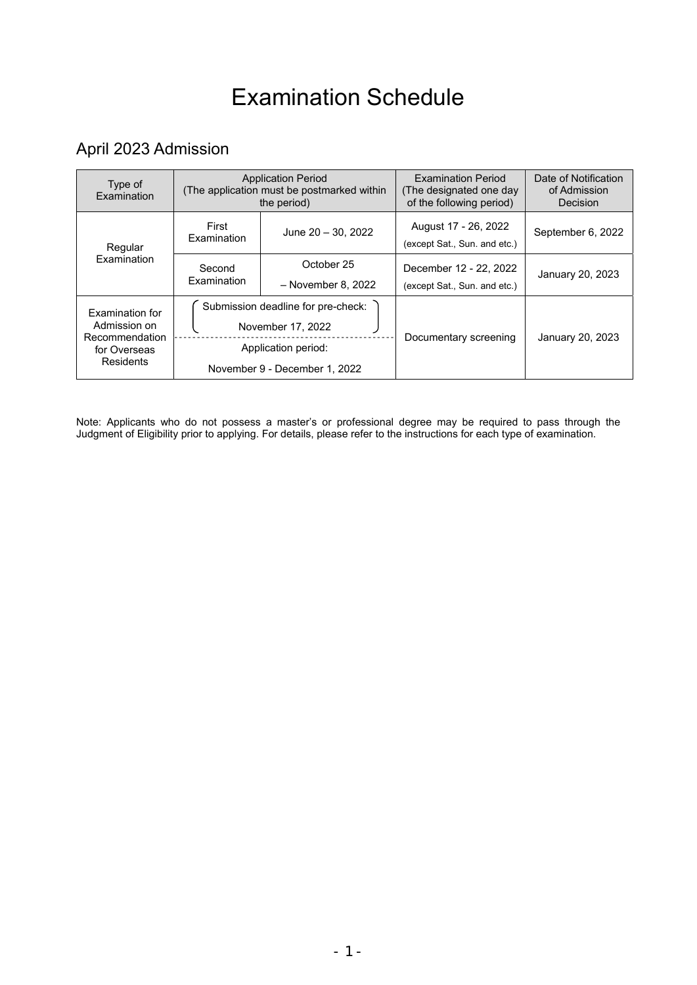# Examination Schedule

### April 2023 Admission

| Type of<br>Examination                                                                | <b>Application Period</b><br>(The application must be postmarked within<br>the period)                          |                                  | <b>Examination Period</b><br>(The designated one day)<br>of the following period) | Date of Notification<br>of Admission<br>Decision |
|---------------------------------------------------------------------------------------|-----------------------------------------------------------------------------------------------------------------|----------------------------------|-----------------------------------------------------------------------------------|--------------------------------------------------|
| Regular<br>Examination                                                                | First<br>Examination                                                                                            | June 20 - 30, 2022               | August 17 - 26, 2022<br>(except Sat., Sun. and etc.)                              | September 6, 2022                                |
|                                                                                       | Second<br>Examination                                                                                           | October 25<br>- November 8, 2022 | December 12 - 22, 2022<br>(except Sat., Sun. and etc.)                            | January 20, 2023                                 |
| <b>Examination for</b><br>Admission on<br>Recommendation<br>for Overseas<br>Residents | Submission deadline for pre-check:<br>November 17, 2022<br>Application period:<br>November 9 - December 1, 2022 |                                  | Documentary screening                                                             | January 20, 2023                                 |

Note: Applicants who do not possess a master's or professional degree may be required to pass through the Judgment of Eligibility prior to applying. For details, please refer to the instructions for each type of examination.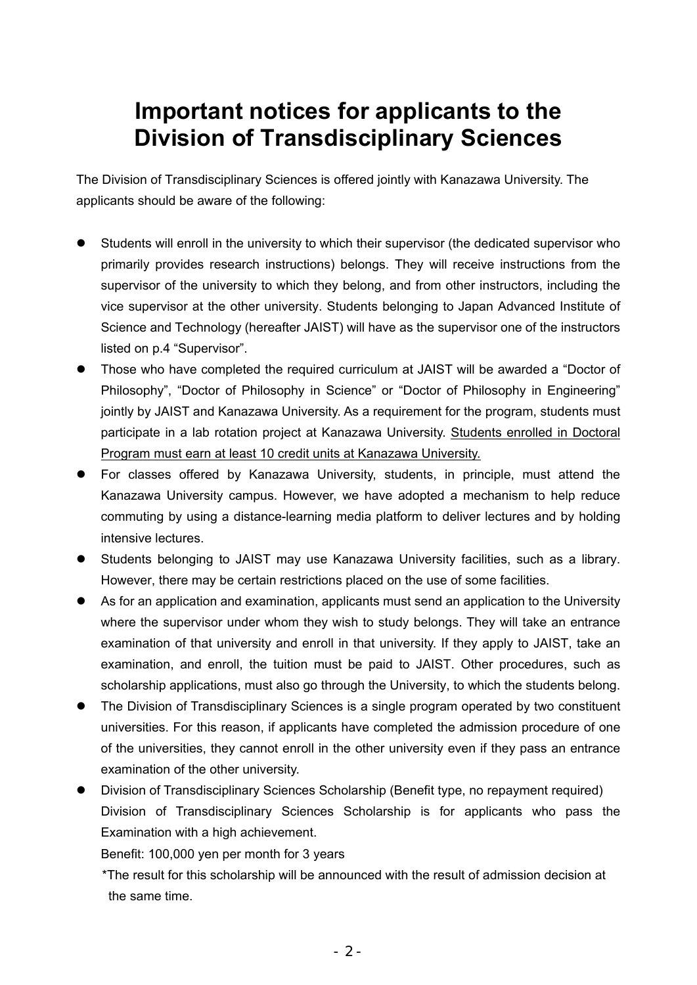# **Important notices for applicants to the Division of Transdisciplinary Sciences**

The Division of Transdisciplinary Sciences is offered jointly with Kanazawa University. The applicants should be aware of the following:

- Students will enroll in the university to which their supervisor (the dedicated supervisor who primarily provides research instructions) belongs. They will receive instructions from the supervisor of the university to which they belong, and from other instructors, including the vice supervisor at the other university. Students belonging to Japan Advanced Institute of Science and Technology (hereafter JAIST) will have as the supervisor one of the instructors listed on p.4 "Supervisor".
- Those who have completed the required curriculum at JAIST will be awarded a "Doctor of Philosophy", "Doctor of Philosophy in Science" or "Doctor of Philosophy in Engineering" jointly by JAIST and Kanazawa University. As a requirement for the program, students must participate in a lab rotation project at Kanazawa University. Students enrolled in Doctoral Program must earn at least 10 credit units at Kanazawa University.
- For classes offered by Kanazawa University, students, in principle, must attend the Kanazawa University campus. However, we have adopted a mechanism to help reduce commuting by using a distance-learning media platform to deliver lectures and by holding intensive lectures.
- Students belonging to JAIST may use Kanazawa University facilities, such as a library. However, there may be certain restrictions placed on the use of some facilities.
- As for an application and examination, applicants must send an application to the University where the supervisor under whom they wish to study belongs. They will take an entrance examination of that university and enroll in that university. If they apply to JAIST, take an examination, and enroll, the tuition must be paid to JAIST. Other procedures, such as scholarship applications, must also go through the University, to which the students belong.
- The Division of Transdisciplinary Sciences is a single program operated by two constituent universities. For this reason, if applicants have completed the admission procedure of one of the universities, they cannot enroll in the other university even if they pass an entrance examination of the other university.
- Division of Transdisciplinary Sciences Scholarship (Benefit type, no repayment required) Division of Transdisciplinary Sciences Scholarship is for applicants who pass the Examination with a high achievement.

Benefit: 100,000 yen per month for 3 years

\*The result for this scholarship will be announced with the result of admission decision at the same time.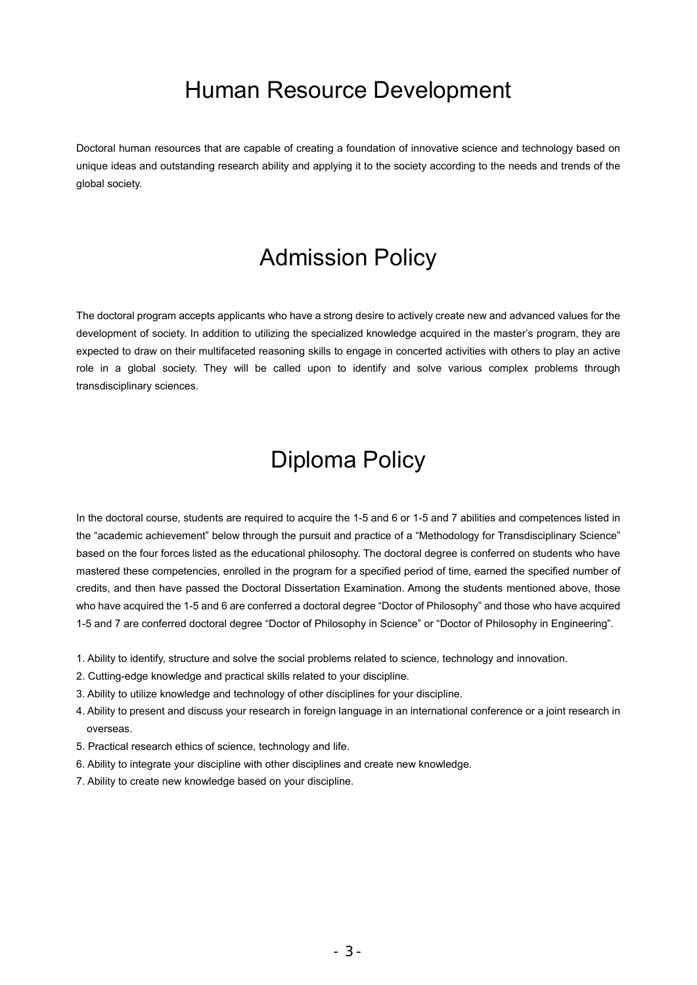### Human Resource Development

Doctoral human resources that are capable of creating a foundation of innovative science and technology based on unique ideas and outstanding research ability and applying it to the society according to the needs and trends of the global society.

### Admission Policy

The doctoral program accepts applicants who have a strong desire to actively create new and advanced values for the development of society. In addition to utilizing the specialized knowledge acquired in the master's program, they are expected to draw on their multifaceted reasoning skills to engage in concerted activities with others to play an active role in a global society. They will be called upon to identify and solve various complex problems through transdisciplinary sciences.

## Diploma Policy

In the doctoral course, students are required to acquire the 1-5 and 6 or 1-5 and 7 abilities and competences listed in the "academic achievement" below through the pursuit and practice of a "Methodology for Transdisciplinary Science" based on the four forces listed as the educational philosophy. The doctoral degree is conferred on students who have mastered these competencies, enrolled in the program for a specified period of time, earned the specified number of credits, and then have passed the Doctoral Dissertation Examination. Among the students mentioned above, those who have acquired the 1-5 and 6 are conferred a doctoral degree "Doctor of Philosophy" and those who have acquired 1-5 and 7 are conferred doctoral degree "Doctor of Philosophy in Science" or "Doctor of Philosophy in Engineering".

- 1. Ability to identify, structure and solve the social problems related to science, technology and innovation.
- 2. Cutting-edge knowledge and practical skills related to your discipline.
- 3. Ability to utilize knowledge and technology of other disciplines for your discipline.
- 4. Ability to present and discuss your research in foreign language in an international conference or a joint research in overseas.
- 5. Practical research ethics of science, technology and life.
- 6. Ability to integrate your discipline with other disciplines and create new knowledge.
- 7. Ability to create new knowledge based on your discipline.